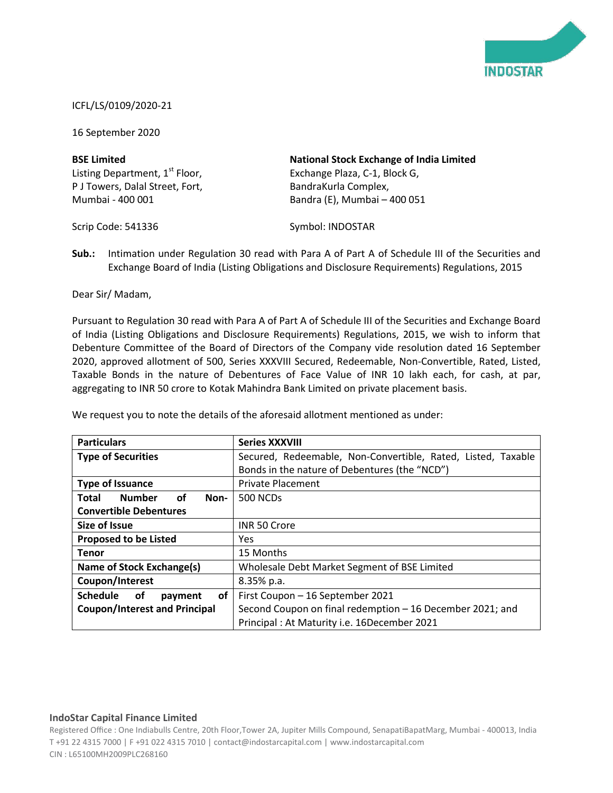

## ICFL/LS/0109/2020-21

16 September 2020

| <b>BSE Limited</b>                         | <b>National Stock Exchange of India Limited</b> |
|--------------------------------------------|-------------------------------------------------|
| Listing Department, 1 <sup>st</sup> Floor, | Exchange Plaza, C-1, Block G,                   |
| P J Towers, Dalal Street, Fort,            | BandraKurla Complex,                            |
| Mumbai - 400 001                           | Bandra (E), Mumbai - 400 051                    |

Scrip Code: 541336

Symbol: INDOSTAR

**Sub.:** Intimation under Regulation 30 read with Para A of Part A of Schedule III of the Securities and Exchange Board of India (Listing Obligations and Disclosure Requirements) Regulations, 2015

Dear Sir/ Madam,

Pursuant to Regulation 30 read with Para A of Part A of Schedule III of the Securities and Exchange Board of India (Listing Obligations and Disclosure Requirements) Regulations, 2015, we wish to inform that Debenture Committee of the Board of Directors of the Company vide resolution dated 16 September 2020, approved allotment of 500, Series XXXVIII Secured, Redeemable, Non-Convertible, Rated, Listed, Taxable Bonds in the nature of Debentures of Face Value of INR 10 lakh each, for cash, at par, aggregating to INR 50 crore to Kotak Mahindra Bank Limited on private placement basis.

| <b>Particulars</b>                          | <b>Series XXXVIII</b>                                        |
|---------------------------------------------|--------------------------------------------------------------|
| <b>Type of Securities</b>                   | Secured, Redeemable, Non-Convertible, Rated, Listed, Taxable |
|                                             | Bonds in the nature of Debentures (the "NCD")                |
| <b>Type of Issuance</b>                     | <b>Private Placement</b>                                     |
| <b>Number</b><br>οf<br><b>Total</b><br>Non- | <b>500 NCDs</b>                                              |
| <b>Convertible Debentures</b>               |                                                              |
| Size of Issue                               | <b>INR 50 Crore</b>                                          |
| <b>Proposed to be Listed</b>                | <b>Yes</b>                                                   |
| <b>Tenor</b>                                | 15 Months                                                    |
| Name of Stock Exchange(s)                   | Wholesale Debt Market Segment of BSE Limited                 |
| Coupon/Interest                             | 8.35% p.a.                                                   |
| <b>Schedule</b><br>οf<br>οf<br>payment      | First Coupon - 16 September 2021                             |
| <b>Coupon/Interest and Principal</b>        | Second Coupon on final redemption - 16 December 2021; and    |
|                                             | Principal: At Maturity i.e. 16December 2021                  |

We request you to note the details of the aforesaid allotment mentioned as under:

## **IndoStar Capital Finance Limited**